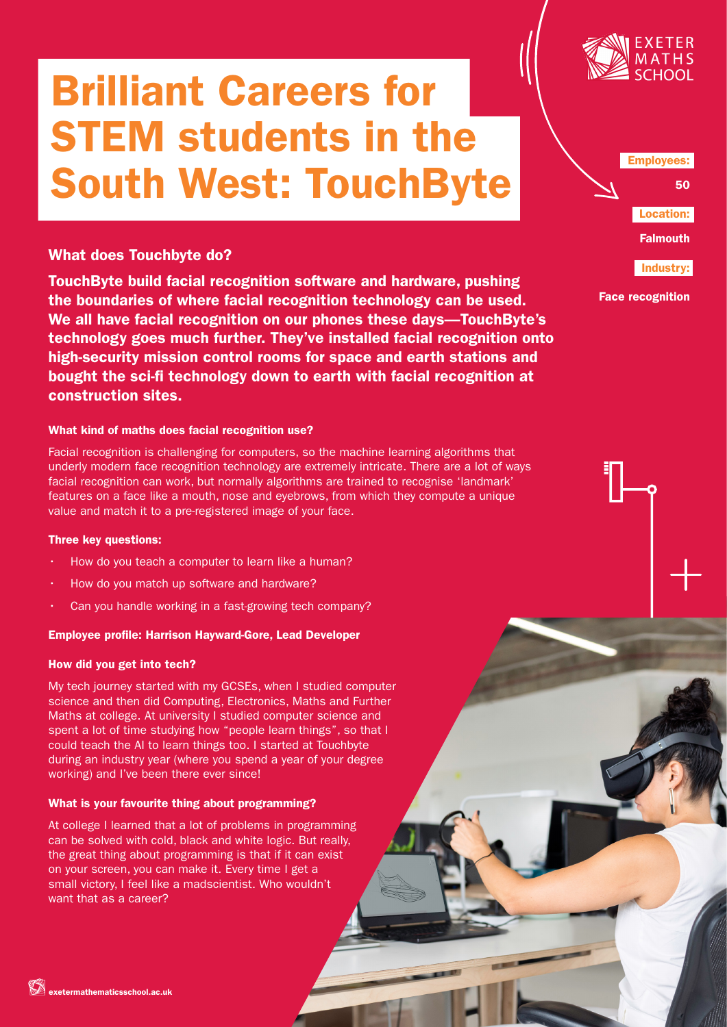# Brilliant Careers for STEM students in the South West: TouchByte



What does Touchbyte do?

TouchByte build facial recognition software and hardware, pushing the boundaries of where facial recognition technology can be used. We all have facial recognition on our phones these days—TouchByte's technology goes much further. They've installed facial recognition onto high-security mission control rooms for space and earth stations and bought the sci-fi technology down to earth with facial recognition at construction sites.

### What kind of maths does facial recognition use?

Facial recognition is challenging for computers, so the machine learning algorithms that underly modern face recognition technology are extremely intricate. There are a lot of ways facial recognition can work, but normally algorithms are trained to recognise 'landmark' features on a face like a mouth, nose and eyebrows, from which they compute a unique value and match it to a pre-registered image of your face.

#### Three key questions:

- How do you teach a computer to learn like a human?
- How do you match up software and hardware?
- Can you handle working in a fast-growing tech company?

# Employee profile: Harrison Hayward-Gore, Lead Developer

# How did you get into tech?

My tech journey started with my GCSEs, when I studied computer science and then did Computing, Electronics, Maths and Further Maths at college. At university I studied computer science and spent a lot of time studying how "people learn things", so that I could teach the AI to learn things too. I started at Touchbyte during an industry year (where you spend a year of your degree working) and I've been there ever since!

# What is your favourite thing about programming?

At college I learned that a lot of problems in programming can be solved with cold, black and white logic. But really, the great thing about programming is that if it can exist on your screen, you can make it. Every time I get a small victory, I feel like a madscientist. Who wouldn't want that as a career?

Employees:

50

Location:

Falmouth

Industry:

Face recognition